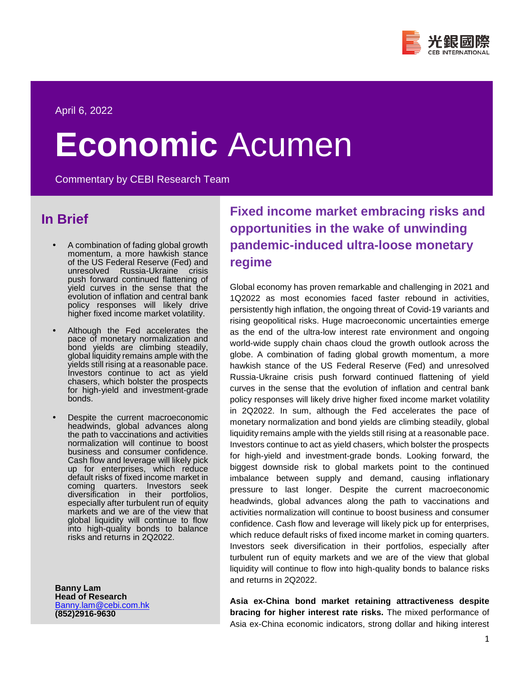

# **Economic** Acumen

Commentary by CEBI Research Team

## **In Brief**

- A combination of fading global growth momentum, a more hawkish stance of the US Federal Reserve (Fed) and unresolved Russia-Ukraine crisis push forward continued flattening of yield curves in the sense that the evolution of inflation and central bank policy responses will likely drive higher fixed income market volatility.
- Although the Fed accelerates the pace of monetary normalization and bond yields are climbing steadily, global liquidity remains ample with the yields still rising at a reasonable pace. Investors continue to act as yield chasers, which bolster the prospects for high-yield and investment-grade bonds.
- Despite the current macroeconomic headwinds, global advances along the path to vaccinations and activities normalization will continue to boost business and consumer confidence. Cash flow and leverage will likely pick up for enterprises, which reduce default risks of fixed income market in coming quarters. Investors seek diversification in their portfolios, especially after turbulent run of equity markets and we are of the view that global liquidity will continue to flow into high-quality bonds to balance risks and returns in 2Q2022.

**Banny Lam Head of Research** [Banny.lam@cebi.com.hk](mailto:Banny.lam@cebi.com.hk) **(852)2916-9630**

**Fixed income market embracing risks and opportunities in the wake of unwinding pandemic-induced ultra-loose monetary regime**

Global economy has proven remarkable and challenging in 2021 and 1Q2022 as most economies faced faster rebound in activities, persistently high inflation, the ongoing threat of Covid-19 variants and rising geopolitical risks. Huge macroeconomic uncertainties emerge as the end of the ultra-low interest rate environment and ongoing world-wide supply chain chaos cloud the growth outlook across the globe. A combination of fading global growth momentum, a more hawkish stance of the US Federal Reserve (Fed) and unresolved Russia-Ukraine crisis push forward continued flattening of yield curves in the sense that the evolution of inflation and central bank policy responses will likely drive higher fixed income market volatility in 2Q2022. In sum, although the Fed accelerates the pace of monetary normalization and bond yields are climbing steadily, global liquidity remains ample with the yields still rising at a reasonable pace. Investors continue to act as yield chasers, which bolster the prospects for high-yield and investment-grade bonds. Looking forward, the biggest downside risk to global markets point to the continued imbalance between supply and demand, causing inflationary pressure to last longer. Despite the current macroeconomic headwinds, global advances along the path to vaccinations and activities normalization will continue to boost business and consumer confidence. Cash flow and leverage will likely pick up for enterprises, which reduce default risks of fixed income market in coming quarters. Investors seek diversification in their portfolios, especially after turbulent run of equity markets and we are of the view that global liquidity will continue to flow into high-quality bonds to balance risks and returns in 2Q2022.

**Asia ex-China bond market retaining attractiveness despite bracing for higher interest rate risks.** The mixed performance of Asia ex-China economic indicators, strong dollar and hiking interest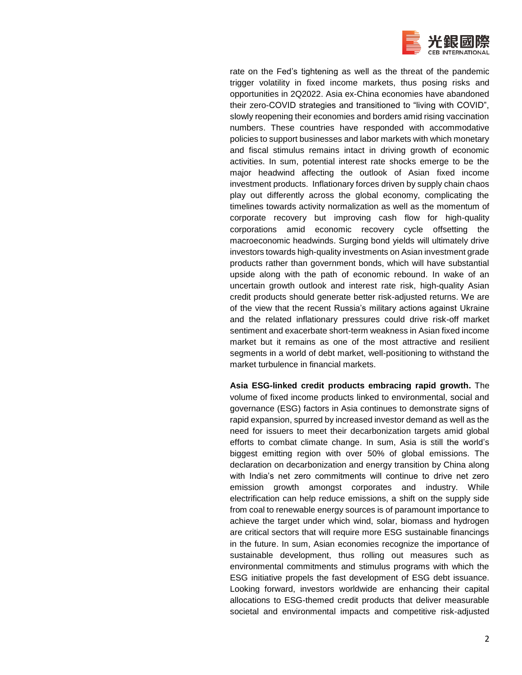

rate on the Fed's tightening as well as the threat of the pandemic trigger volatility in fixed income markets, thus posing risks and opportunities in 2Q2022. Asia ex-China economies have abandoned their zero-COVID strategies and transitioned to "living with COVID", slowly reopening their economies and borders amid rising vaccination numbers. These countries have responded with accommodative policies to support businesses and labor markets with which monetary and fiscal stimulus remains intact in driving growth of economic activities. In sum, potential interest rate shocks emerge to be the major headwind affecting the outlook of Asian fixed income investment products. Inflationary forces driven by supply chain chaos play out differently across the global economy, complicating the timelines towards activity normalization as well as the momentum of corporate recovery but improving cash flow for high-quality corporations amid economic recovery cycle offsetting the macroeconomic headwinds. Surging bond vields will ultimately drive investors towards high-quality investments on Asian investment grade products rather than government bonds, which will have substantial upside along with the path of economic rebound. In wake of an uncertain growth outlook and interest rate risk, high-quality Asian credit products should generate better risk-adjusted returns. We are of the view that the recent Russia's military actions against Ukraine and the related inflationary pressures could drive risk-off market sentiment and exacerbate short-term weakness in Asian fixed income market but it remains as one of the most attractive and resilient segments in a world of debt market, well-positioning to withstand the market turbulence in financial markets.

**Asia ESG-linked credit products embracing rapid growth.** The volume of fixed income products linked to environmental, social and governance (ESG) factors in Asia continues to demonstrate signs of rapid expansion, spurred by increased investor demand as well as the need for issuers to meet their decarbonization targets amid global efforts to combat climate change. In sum, Asia is still the world's biggest emitting region with over 50% of global emissions. The declaration on decarbonization and energy transition by China along with India's net zero commitments will continue to drive net zero emission growth amongst corporates and industry. While electrification can help reduce emissions, a shift on the supply side from coal to renewable energy sources is of paramount importance to achieve the target under which wind, solar, biomass and hydrogen are critical sectors that will require more ESG sustainable financings in the future. In sum, Asian economies recognize the importance of sustainable development, thus rolling out measures such as environmental commitments and stimulus programs with which the ESG initiative propels the fast development of ESG debt issuance. Looking forward, investors worldwide are enhancing their capital allocations to ESG-themed credit products that deliver measurable societal and environmental impacts and competitive risk-adjusted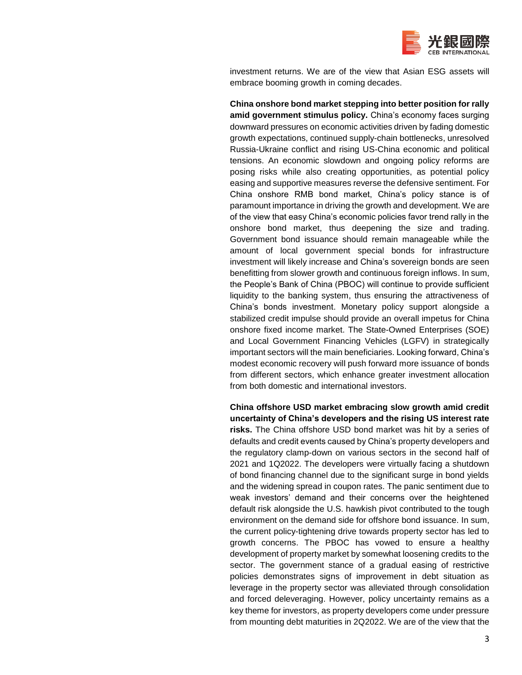

investment returns. We are of the view that Asian ESG assets will embrace booming growth in coming decades.

**China onshore bond market stepping into better position for rally amid government stimulus policy.** China's economy faces surging downward pressures on economic activities driven by fading domestic growth expectations, continued supply-chain bottlenecks, unresolved Russia-Ukraine conflict and rising US-China economic and political tensions. An economic slowdown and ongoing policy reforms are posing risks while also creating opportunities, as potential policy easing and supportive measures reverse the defensive sentiment. For China onshore RMB bond market, China's policy stance is of paramount importance in driving the growth and development. We are of the view that easy China's economic policies favor trend rally in the onshore bond market, thus deepening the size and trading. Government bond issuance should remain manageable while the amount of local government special bonds for infrastructure investment will likely increase and China's sovereign bonds are seen benefitting from slower growth and continuous foreign inflows. In sum, the People's Bank of China (PBOC) will continue to provide sufficient liquidity to the banking system, thus ensuring the attractiveness of China's bonds investment. Monetary policy support alongside a stabilized credit impulse should provide an overall impetus for China onshore fixed income market. The State-Owned Enterprises (SOE) and Local Government Financing Vehicles (LGFV) in strategically important sectors will the main beneficiaries. Looking forward, China's modest economic recovery will push forward more issuance of bonds from different sectors, which enhance greater investment allocation from both domestic and international investors.

**China offshore USD market embracing slow growth amid credit uncertainty of China's developers and the rising US interest rate risks.** The China offshore USD bond market was hit by a series of defaults and credit events caused by China's property developers and the regulatory clamp-down on various sectors in the second half of 2021 and 1Q2022. The developers were virtually facing a shutdown of bond financing channel due to the significant surge in bond yields and the widening spread in coupon rates. The panic sentiment due to weak investors' demand and their concerns over the heightened default risk alongside the U.S. hawkish pivot contributed to the tough environment on the demand side for offshore bond issuance. In sum, the current policy-tightening drive towards property sector has led to growth concerns. The PBOC has vowed to ensure a healthy development of property market by somewhat loosening credits to the sector. The government stance of a gradual easing of restrictive policies demonstrates signs of improvement in debt situation as leverage in the property sector was alleviated through consolidation and forced deleveraging. However, policy uncertainty remains as a key theme for investors, as property developers come under pressure from mounting debt maturities in 2Q2022. We are of the view that the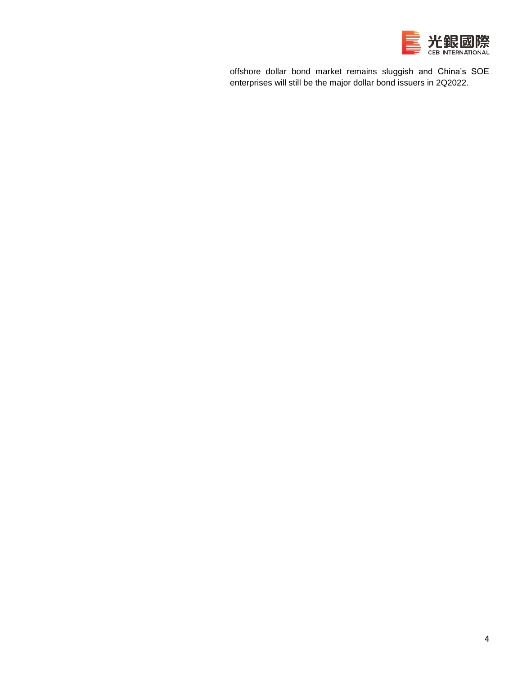

offshore dollar bond market remains sluggish and China's SOE enterprises will still be the major dollar bond issuers in 2Q2022.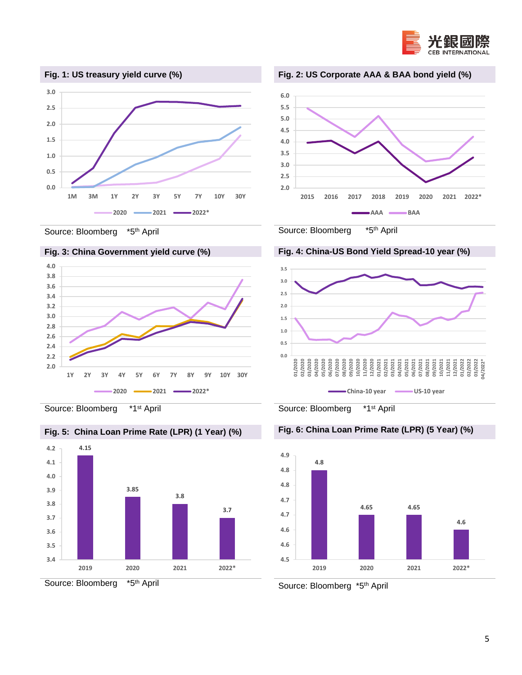





**Fig. 3: China Government yield curve (%)**







Source: Bloomberg \*5<sup>th</sup> April Source: Bloomberg \*5<sup>th</sup> April

**Fig. 2: US Corporate AAA & BAA bond yield (%)**



Source: Bloomberg \*5<sup>th</sup> April Source: Bloomberg \*5<sup>th</sup> April

## **Fig. 4: China-US Bond Yield Spread-10 year (%)**



Source: Bloomberg \*1<sup>st</sup> April Source: Bloomberg \*1<sup>st</sup> April

**Fig. 6: China Loan Prime Rate (LPR) (5 Year) (%)**

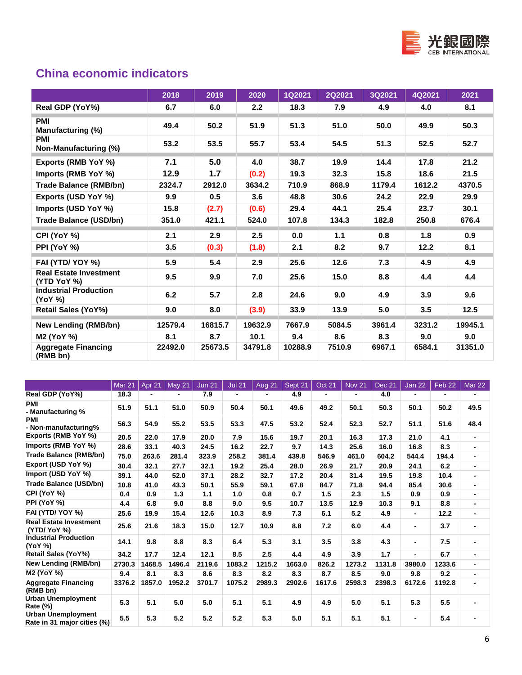

# **China economic indicators**

|                                              | 2018    | 2019    | 2020    | <b>1Q2021</b> | 2Q2021 | 3Q2021 | 4Q2021 | 2021    |
|----------------------------------------------|---------|---------|---------|---------------|--------|--------|--------|---------|
| Real GDP (YoY%)                              | 6.7     | 6.0     | 2.2     | 18.3          | 7.9    | 4.9    | 4.0    | 8.1     |
| <b>PMI</b><br>Manufacturing (%)              | 49.4    | 50.2    | 51.9    | 51.3          | 51.0   | 50.0   | 49.9   | 50.3    |
| <b>PMI</b><br>Non-Manufacturing (%)          | 53.2    | 53.5    | 55.7    | 53.4          | 54.5   | 51.3   | 52.5   | 52.7    |
| Exports (RMB YoY %)                          | 7.1     | 5.0     | 4.0     | 38.7          | 19.9   | 14.4   | 17.8   | 21.2    |
| Imports (RMB YoY %)                          | 12.9    | 1.7     | (0.2)   | 19.3          | 32.3   | 15.8   | 18.6   | 21.5    |
| <b>Trade Balance (RMB/bn)</b>                | 2324.7  | 2912.0  | 3634.2  | 710.9         | 868.9  | 1179.4 | 1612.2 | 4370.5  |
| Exports (USD YoY %)                          | 9.9     | 0.5     | 3.6     | 48.8          | 30.6   | 24.2   | 22.9   | 29.9    |
| Imports (USD YoY %)                          | 15.8    | (2.7)   | (0.6)   | 29.4          | 44.1   | 25.4   | 23.7   | 30.1    |
| Trade Balance (USD/bn)                       | 351.0   | 421.1   | 524.0   | 107.8         | 134.3  | 182.8  | 250.8  | 676.4   |
| CPI (YoY %)                                  | 2.1     | 2.9     | 2.5     | 0.0           | 1.1    | 0.8    | 1.8    | 0.9     |
| PPI (YoY %)                                  | 3.5     | (0.3)   | (1.8)   | 2.1           | 8.2    | 9.7    | 12.2   | 8.1     |
| FAI (YTD/YOY %)                              | 5.9     | 5.4     | 2.9     | 25.6          | 12.6   | 7.3    | 4.9    | 4.9     |
| <b>Real Estate Investment</b><br>(YTD YoY %) | 9.5     | 9.9     | 7.0     | 25.6          | 15.0   | 8.8    | 4.4    | 4.4     |
| <b>Industrial Production</b><br>(YoY %)      | 6.2     | 5.7     | 2.8     | 24.6          | 9.0    | 4.9    | 3.9    | 9.6     |
| <b>Retail Sales (YoY%)</b>                   | 9.0     | 8.0     | (3.9)   | 33.9          | 13.9   | 5.0    | 3.5    | 12.5    |
| <b>New Lending (RMB/bn)</b>                  | 12579.4 | 16815.7 | 19632.9 | 7667.9        | 5084.5 | 3961.4 | 3231.2 | 19945.1 |
| <b>M2 (YoY %)</b>                            | 8.1     | 8.7     | 10.1    | 9.4           | 8.6    | 8.3    | 9.0    | 9.0     |
| <b>Aggregate Financing</b><br>(RMB bn)       | 22492.0 | 25673.5 | 34791.8 | 10288.9       | 7510.9 | 6967.1 | 6584.1 | 31351.0 |

|                                                          | <b>Mar 21</b> | Apr 21         | <b>May 21</b> | <b>Jun 21</b> | <b>Jul 21</b>  | <b>Aug 21</b>  | Sept 21 | Oct 21         | <b>Nov 21</b> | Dec 21 | Jan 22         | Feb 22 | <b>Mar 22</b>            |
|----------------------------------------------------------|---------------|----------------|---------------|---------------|----------------|----------------|---------|----------------|---------------|--------|----------------|--------|--------------------------|
| Real GDP (YoY%)                                          | 18.3          | $\blacksquare$ | ۰             | 7.9           | $\blacksquare$ | $\blacksquare$ | 4.9     | $\blacksquare$ | ٠             | 4.0    | $\blacksquare$ | ٠      | $\overline{\phantom{0}}$ |
| <b>PMI</b><br>- Manufacturing %                          | 51.9          | 51.1           | 51.0          | 50.9          | 50.4           | 50.1           | 49.6    | 49.2           | 50.1          | 50.3   | 50.1           | 50.2   | 49.5                     |
| <b>PMI</b><br>- Non-manufacturing%                       | 56.3          | 54.9           | 55.2          | 53.5          | 53.3           | 47.5           | 53.2    | 52.4           | 52.3          | 52.7   | 51.1           | 51.6   | 48.4                     |
| Exports (RMB YoY %)                                      | 20.5          | 22.0           | 17.9          | 20.0          | 7.9            | 15.6           | 19.7    | 20.1           | 16.3          | 17.3   | 21.0           | 4.1    | $\blacksquare$           |
| Imports (RMB YoY %)                                      | 28.6          | 33.1           | 40.3          | 24.5          | 16.2           | 22.7           | 9.7     | 14.3           | 25.6          | 16.0   | 16.8           | 8.3    | $\blacksquare$           |
| Trade Balance (RMB/bn)                                   | 75.0          | 263.6          | 281.4         | 323.9         | 258.2          | 381.4          | 439.8   | 546.9          | 461.0         | 604.2  | 544.4          | 194.4  | $\blacksquare$           |
| Export (USD YoY %)                                       | 30.4          | 32.1           | 27.7          | 32.1          | 19.2           | 25.4           | 28.0    | 26.9           | 21.7          | 20.9   | 24.1           | 6.2    | $\blacksquare$           |
| Import (USD YoY %)                                       | 39.1          | 44.0           | 52.0          | 37.1          | 28.2           | 32.7           | 17.2    | 20.4           | 31.4          | 19.5   | 19.8           | 10.4   | $\blacksquare$           |
| Trade Balance (USD/bn)                                   | 10.8          | 41.0           | 43.3          | 50.1          | 55.9           | 59.1           | 67.8    | 84.7           | 71.8          | 94.4   | 85.4           | 30.6   | $\blacksquare$           |
| CPI (YoY %)                                              | 0.4           | 0.9            | 1.3           | 1.1           | 1.0            | 0.8            | 0.7     | 1.5            | 2.3           | 1.5    | 0.9            | 0.9    | $\blacksquare$           |
| PPI (YoY %)                                              | 4.4           | 6.8            | 9.0           | 8.8           | 9.0            | 9.5            | 10.7    | 13.5           | 12.9          | 10.3   | 9.1            | 8.8    | $\blacksquare$           |
| FAI (YTD/YOY %)                                          | 25.6          | 19.9           | 15.4          | 12.6          | 10.3           | 8.9            | 7.3     | 6.1            | 5.2           | 4.9    | $\blacksquare$ | 12.2   | $\blacksquare$           |
| <b>Real Estate Investment</b><br>(YTD/YoY %)             | 25.6          | 21.6           | 18.3          | 15.0          | 12.7           | 10.9           | 8.8     | 7.2            | 6.0           | 4.4    | $\blacksquare$ | 3.7    | $\blacksquare$           |
| <b>Industrial Production</b><br>(YoY %)                  | 14.1          | 9.8            | 8.8           | 8.3           | 6.4            | 5.3            | 3.1     | 3.5            | 3.8           | 4.3    | $\blacksquare$ | 7.5    | $\blacksquare$           |
| Retail Sales (YoY%)                                      | 34.2          | 17.7           | 12.4          | 12.1          | 8.5            | 2.5            | 4.4     | 4.9            | 3.9           | 1.7    | ٠              | 6.7    | $\blacksquare$           |
| New Lending (RMB/bn)                                     | 2730.3        | 1468.5         | 1496.4        | 2119.6        | 1083.2         | 1215.2         | 1663.0  | 826.2          | 1273.2        | 1131.8 | 3980.0         | 1233.6 | $\blacksquare$           |
| <b>M2 (YoY %)</b>                                        | 9.4           | 8.1            | 8.3           | 8.6           | 8.3            | 8.2            | 8.3     | 8.7            | 8.5           | 9.0    | 9.8            | 9.2    | $\overline{\phantom{a}}$ |
| <b>Aggregate Financing</b><br>(RMB bn)                   | 3376.2        | 1857.0         | 1952.2        | 3701.7        | 1075.2         | 2989.3         | 2902.6  | 1617.6         | 2598.3        | 2398.3 | 6172.6         | 1192.8 | $\overline{\phantom{a}}$ |
| <b>Urban Unemployment</b><br><b>Rate (%)</b>             | 5.3           | 5.1            | 5.0           | 5.0           | 5.1            | 5.1            | 4.9     | 4.9            | 5.0           | 5.1    | 5.3            | 5.5    | $\blacksquare$           |
| <b>Urban Unemployment</b><br>Rate in 31 major cities (%) | 5.5           | 5.3            | 5.2           | 5.2           | 5.2            | 5.3            | 5.0     | 5.1            | 5.1           | 5.1    | $\blacksquare$ | 5.4    |                          |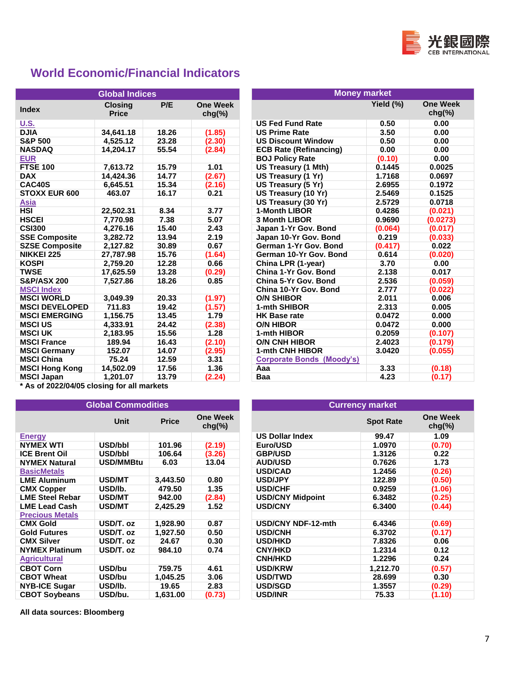

## **World Economic/Financial Indicators**

|                        | <b>Global Indices</b>          |       |                              | <b>Money market</b>              |              |
|------------------------|--------------------------------|-------|------------------------------|----------------------------------|--------------|
| <b>Index</b>           | <b>Closing</b><br><b>Price</b> | P/E   | <b>One Week</b><br>$chg(\%)$ |                                  | Yield $(\%)$ |
| <b>U.S.</b>            |                                |       |                              | <b>US Fed Fund Rate</b>          | 0.50         |
| <b>DJIA</b>            | 34,641.18                      | 18.26 | (1.85)                       | <b>US Prime Rate</b>             | 3.50         |
| <b>S&amp;P 500</b>     | 4,525.12                       | 23.28 | (2.30)                       | <b>US Discount Window</b>        | 0.50         |
| <b>NASDAQ</b>          | 14,204.17                      | 55.54 | (2.84)                       | <b>ECB Rate (Refinancing)</b>    | 0.00         |
| <b>EUR</b>             |                                |       |                              | <b>BOJ Policy Rate</b>           | (0.10)       |
| <b>FTSE 100</b>        | 7,613.72                       | 15.79 | 1.01                         | US Treasury (1 Mth)              | 0.1445       |
| <b>DAX</b>             | 14,424.36                      | 14.77 | (2.67)                       | US Treasury (1 Yr)               | 1.7168       |
| CAC40S                 | 6.645.51                       | 15.34 | (2.16)                       | US Treasury (5 Yr)               | 2.6955       |
| <b>STOXX EUR 600</b>   | 463.07                         | 16.17 | 0.21                         | US Treasury (10 Yr)              | 2.5469       |
| Asia                   |                                |       |                              | US Treasury (30 Yr)              | 2.5729       |
| <b>HSI</b>             | 22,502.31                      | 8.34  | 3.77                         | 1-Month LIBOR                    | 0.4286       |
| <b>HSCEI</b>           | 7,770.98                       | 7.38  | 5.07                         | 3 Month LIBOR                    | 0.9690       |
| <b>CSI300</b>          | 4,276.16                       | 15.40 | 2.43                         | Japan 1-Yr Gov. Bond             | (0.064)      |
| <b>SSE Composite</b>   | 3,282.72                       | 13.94 | 2.19                         | Japan 10-Yr Gov. Bond            | 0.219        |
| <b>SZSE Composite</b>  | 2,127.82                       | 30.89 | 0.67                         | German 1-Yr Gov. Bond            | (0.417)      |
| <b>NIKKEI 225</b>      | 27,787.98                      | 15.76 | (1.64)                       | German 10-Yr Gov, Bond           | 0.614        |
| <b>KOSPI</b>           | 2,759.20                       | 12.28 | 0.66                         | China LPR (1-year)               | 3.70         |
| <b>TWSE</b>            | 17,625.59                      | 13.28 | (0.29)                       | China 1-Yr Gov. Bond             | 2.138        |
| <b>S&amp;P/ASX 200</b> | 7,527.86                       | 18.26 | 0.85                         | China 5-Yr Gov. Bond             | 2.536        |
| <b>MSCI Index</b>      |                                |       |                              | China 10-Yr Gov. Bond            | 2.777        |
| <b>MSCI WORLD</b>      | 3,049.39                       | 20.33 | (1.97)                       | <b>O/N SHIBOR</b>                | 2.011        |
| <b>MSCI DEVELOPED</b>  | 711.83                         | 19.42 | (1.57)                       | 1-mth SHIBOR                     | 2.313        |
| <b>MSCI EMERGING</b>   | 1,156.75                       | 13.45 | 1.79                         | <b>HK Base rate</b>              | 0.0472       |
| <b>MSCI US</b>         | 4,333.91                       | 24.42 | (2.38)                       | <b>O/N HIBOR</b>                 | 0.0472       |
| <b>MSCI UK</b>         | 2,183.95                       | 15.56 | 1.28                         | 1-mth HIBOR                      | 0.2059       |
| <b>MSCI France</b>     | 189.94                         | 16.43 | (2.10)                       | <b>O/N CNH HIBOR</b>             | 2.4023       |
| <b>MSCI Germany</b>    | 152.07                         | 14.07 | (2.95)                       | 1-mth CNH HIBOR                  | 3.0420       |
| <b>MSCI China</b>      | 75.24                          | 12.59 | 3.31                         | <b>Corporate Bonds (Moody's)</b> |              |
| <b>MSCI Hong Kong</b>  | 14,502.09                      | 17.56 | 1.36                         | Aaa                              | 3.33         |
| <b>MSCI Japan</b>      | 1.201.07                       | 13.79 | (2.24)                       | Baa                              | 4.23         |

|                        | <b>Global Indices</b>          |       |                              | <b>Money market</b>              |           |                              |
|------------------------|--------------------------------|-------|------------------------------|----------------------------------|-----------|------------------------------|
| <b>Index</b>           | <b>Closing</b><br><b>Price</b> | P/E   | <b>One Week</b><br>$chg(\%)$ |                                  | Yield (%) | <b>One Week</b><br>$chg(\%)$ |
| U.S.                   |                                |       |                              | <b>US Fed Fund Rate</b>          | 0.50      | 0.00                         |
| <b>DJIA</b>            | 34,641.18                      | 18.26 | (1.85)                       | <b>US Prime Rate</b>             | 3.50      | 0.00                         |
| <b>S&amp;P 500</b>     | 4,525.12                       | 23.28 | (2.30)                       | <b>US Discount Window</b>        | 0.50      | 0.00                         |
| NASDAQ                 | 14,204.17                      | 55.54 | (2.84)                       | <b>ECB Rate (Refinancing)</b>    | 0.00      | 0.00                         |
| <b>EUR</b>             |                                |       |                              | <b>BOJ Policy Rate</b>           | (0.10)    | 0.00                         |
| <b>FTSE 100</b>        | 7,613.72                       | 15.79 | 1.01                         | <b>US Treasury (1 Mth)</b>       | 0.1445    | 0.0025                       |
| DAX                    | 14,424.36                      | 14.77 | (2.67)                       | US Treasury (1 Yr)               | 1.7168    | 0.0697                       |
| CAC40S                 | 6,645.51                       | 15.34 | (2.16)                       | US Treasury (5 Yr)               | 2.6955    | 0.1972                       |
| <b>STOXX EUR 600</b>   | 463.07                         | 16.17 | 0.21                         | US Treasury (10 Yr)              | 2.5469    | 0.1525                       |
| Asia                   |                                |       |                              | US Treasury (30 Yr)              | 2.5729    | 0.0718                       |
| HSI                    | 22,502.31                      | 8.34  | 3.77                         | 1-Month LIBOR                    | 0.4286    | (0.021)                      |
| HSCEI                  | 7,770.98                       | 7.38  | 5.07                         | <b>3 Month LIBOR</b>             | 0.9690    | (0.0273)                     |
| <b>CSI300</b>          | 4,276.16                       | 15.40 | 2.43                         | Japan 1-Yr Gov. Bond             | (0.064)   | (0.017)                      |
| <b>SSE Composite</b>   | 3,282.72                       | 13.94 | 2.19                         | Japan 10-Yr Gov. Bond            | 0.219     | (0.033)                      |
| <b>SZSE Composite</b>  | 2,127.82                       | 30.89 | 0.67                         | German 1-Yr Gov. Bond            | (0.417)   | 0.022                        |
| <b>NIKKEI 225</b>      | 27,787.98                      | 15.76 | (1.64)                       | German 10-Yr Gov. Bond           | 0.614     | (0.020)                      |
| <b>KOSPI</b>           | 2,759.20                       | 12.28 | 0.66                         | China LPR (1-year)               | 3.70      | 0.00                         |
| <b>TWSE</b>            | 17,625.59                      | 13.28 | (0.29)                       | <b>China 1-Yr Gov. Bond</b>      | 2.138     | 0.017                        |
| <b>S&amp;P/ASX 200</b> | 7,527.86                       | 18.26 | 0.85                         | China 5-Yr Gov. Bond             | 2.536     | (0.059)                      |
| <b>MSCI Index</b>      |                                |       |                              | China 10-Yr Gov, Bond            | 2.777     | (0.022)                      |
| <b>MSCI WORLD</b>      | 3,049.39                       | 20.33 | (1.97)                       | <b>O/N SHIBOR</b>                | 2.011     | 0.006                        |
| <b>MSCI DEVELOPED</b>  | 711.83                         | 19.42 | (1.57)                       | 1-mth SHIBOR                     | 2.313     | 0.005                        |
| <b>MSCI EMERGING</b>   | 1,156.75                       | 13.45 | 1.79                         | <b>HK Base rate</b>              | 0.0472    | 0.000                        |
| <b>MSCI US</b>         | 4,333.91                       | 24.42 | (2.38)                       | <b>O/N HIBOR</b>                 | 0.0472    | 0.000                        |
| <b>MSCI UK</b>         | 2,183.95                       | 15.56 | 1.28                         | 1-mth HIBOR                      | 0.2059    | (0.107)                      |
| <b>MSCI France</b>     | 189.94                         | 16.43 | (2.10)                       | <b>O/N CNH HIBOR</b>             | 2.4023    | (0.179)                      |
| <b>MSCI Germany</b>    | 152.07                         | 14.07 | (2.95)                       | 1-mth CNH HIBOR                  | 3.0420    | (0.055)                      |
| <b>MSCI China</b>      | 75.24                          | 12.59 | 3.31                         | <b>Corporate Bonds (Moody's)</b> |           |                              |
| <b>MSCI Hong Kong</b>  | 14,502.09                      | 17.56 | 1.36                         | Aaa                              | 3.33      | (0.18)                       |
| <b>MSCI Japan</b>      | 1,201.07                       | 13.79 | (2.24)                       | Baa                              | 4.23      | (0.17)                       |
|                        |                                |       |                              |                                  |           |                              |

**\* As of 2022/04/05 closing for all markets**

|                        | <b>Global Commodities</b> |              |                              | <b>Currency market</b>    |                  |  |
|------------------------|---------------------------|--------------|------------------------------|---------------------------|------------------|--|
|                        | Unit                      | <b>Price</b> | <b>One Week</b><br>$chg(\%)$ |                           | <b>Spot Rate</b> |  |
| <b>Energy</b>          |                           |              |                              | <b>US Dollar Index</b>    | 99.47            |  |
| <b>NYMEX WTI</b>       | USD/bbl                   | 101.96       | (2.19)                       | Euro/USD                  | 1.0970           |  |
| <b>ICE Brent Oil</b>   | USD/bbl                   | 106.64       | (3.26)                       | <b>GBP/USD</b>            | 1.3126           |  |
| <b>NYMEX Natural</b>   | USD/MMBtu                 | 6.03         | 13.04                        | <b>AUD/USD</b>            | 0.7626           |  |
| <b>BasicMetals</b>     |                           |              |                              | <b>USD/CAD</b>            | 1.2456           |  |
| <b>LME Aluminum</b>    | <b>USD/MT</b>             | 3,443.50     | 0.80                         | <b>USD/JPY</b>            | 122.89           |  |
| <b>CMX Copper</b>      | USD/lb.                   | 479.50       | 1.35                         | <b>USD/CHF</b>            | 0.9259           |  |
| <b>LME Steel Rebar</b> | <b>USD/MT</b>             | 942.00       | (2.84)                       | <b>USD/CNY Midpoint</b>   | 6.3482           |  |
| <b>LME Lead Cash</b>   | <b>USD/MT</b>             | 2,425.29     | 1.52                         | <b>USD/CNY</b>            | 6.3400           |  |
| <b>Precious Metals</b> |                           |              |                              |                           |                  |  |
| <b>CMX Gold</b>        | USD/T. oz                 | 1,928.90     | 0.87                         | <b>USD/CNY NDF-12-mth</b> | 6.4346           |  |
| <b>Gold Futures</b>    | USD/T. oz                 | 1,927.50     | 0.50                         | <b>USD/CNH</b>            | 6.3702           |  |
| <b>CMX Silver</b>      | USD/T. oz                 | 24.67        | 0.30                         | <b>USD/HKD</b>            | 7.8326           |  |
| <b>NYMEX Platinum</b>  | USD/T. oz                 | 984.10       | 0.74                         | <b>CNY/HKD</b>            | 1.2314           |  |
| <b>Agricultural</b>    |                           |              |                              | <b>CNH/HKD</b>            | 1.2296           |  |
| <b>CBOT Corn</b>       | USD/bu                    | 759.75       | 4.61                         | <b>USD/KRW</b>            | 1,212.70         |  |
| <b>CBOT Wheat</b>      | USD/bu                    | 1,045.25     | 3.06                         | <b>USD/TWD</b>            | 28.699           |  |
| <b>NYB-ICE Sugar</b>   | USD/lb.                   | 19.65        | 2.83                         | <b>USD/SGD</b>            | 1.3557           |  |
| <b>CBOT Soybeans</b>   | USD/bu.                   | 1,631.00     | (0.73)                       | <b>USD/INR</b>            | 75.33            |  |

**All data sources: Bloomberg**

| bal Commodities |              |                              | <u>Currenc</u> y market   |                  |                              |  |  |  |  |
|-----------------|--------------|------------------------------|---------------------------|------------------|------------------------------|--|--|--|--|
| <b>Unit</b>     | <b>Price</b> | <b>One Week</b><br>$chg(\%)$ |                           | <b>Spot Rate</b> | <b>One Week</b><br>$chg(\%)$ |  |  |  |  |
|                 |              |                              | <b>US Dollar Index</b>    | 99.47            | 1.09                         |  |  |  |  |
| USD/bbl         | 101.96       | (2.19)                       | Euro/USD                  | 1.0970           | (0.70)                       |  |  |  |  |
| USD/bbl         | 106.64       | (3.26)                       | <b>GBP/USD</b>            | 1.3126           | 0.22                         |  |  |  |  |
| USD/MMBtu       | 6.03         | 13.04                        | <b>AUD/USD</b>            | 0.7626           | 1.73                         |  |  |  |  |
|                 |              |                              | <b>USD/CAD</b>            | 1.2456           | (0.26)                       |  |  |  |  |
| <b>USD/MT</b>   | 3,443.50     | 0.80                         | USD/JPY                   | 122.89           | (0.50)                       |  |  |  |  |
| USD/lb.         | 479.50       | 1.35                         | <b>USD/CHF</b>            | 0.9259           | (1.06)                       |  |  |  |  |
| <b>USD/MT</b>   | 942.00       | (2.84)                       | <b>USD/CNY Midpoint</b>   | 6.3482           | (0.25)                       |  |  |  |  |
| <b>USD/MT</b>   | 2,425.29     | 1.52                         | <b>USD/CNY</b>            | 6.3400           | (0.44)                       |  |  |  |  |
|                 |              |                              |                           |                  |                              |  |  |  |  |
| USD/T. oz       | 1,928.90     | 0.87                         | <b>USD/CNY NDF-12-mth</b> | 6.4346           | (0.69)                       |  |  |  |  |
| USD/T. oz       | 1.927.50     | 0.50                         | <b>USD/CNH</b>            | 6.3702           | (0.17)                       |  |  |  |  |
| USD/T. oz       | 24.67        | 0.30                         | <b>USD/HKD</b>            | 7.8326           | 0.06                         |  |  |  |  |
| USD/T. oz       | 984.10       | 0.74                         | <b>CNY/HKD</b>            | 1.2314           | 0.12                         |  |  |  |  |
|                 |              |                              | <b>CNH/HKD</b>            | 1.2296           | 0.24                         |  |  |  |  |
| USD/bu          | 759.75       | 4.61                         | <b>USD/KRW</b>            | 1,212.70         | (0.57)                       |  |  |  |  |
| USD/bu          | 1,045.25     | 3.06                         | USD/TWD                   | 28.699           | 0.30                         |  |  |  |  |
| USD/lb.         | 19.65        | 2.83                         | <b>USD/SGD</b>            | 1.3557           | (0.29)                       |  |  |  |  |
| USD/bu.         | 1,631.00     | (0.73)                       | <b>USD/INR</b>            | 75.33            | (1.10)                       |  |  |  |  |